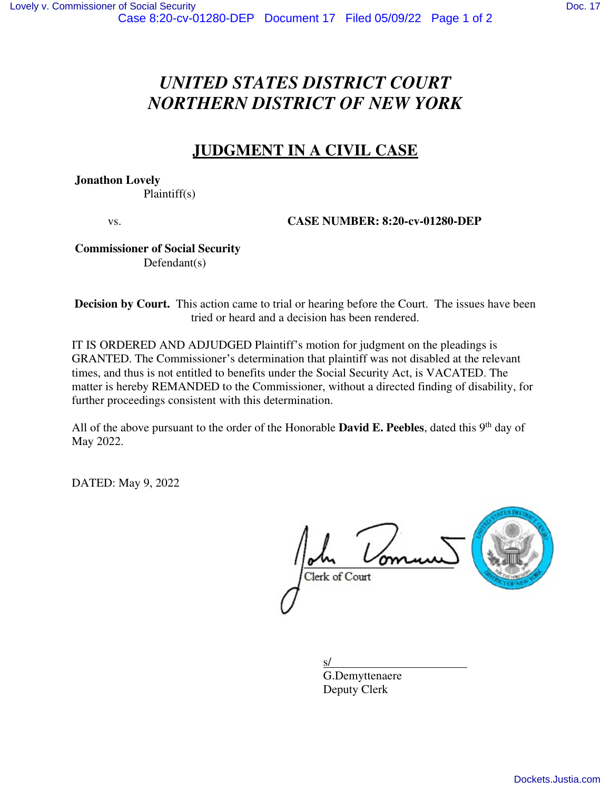# *UNITED STATES DISTRICT COURT NORTHERN DISTRICT OF NEW YORK*

# **JUDGMENT IN A CIVIL CASE**

 **Jonathon Lovely** 

Plaintiff(s)

vs. **CASE NUMBER: 8:20-cv-01280-DEP** 

### **Commissioner of Social Security**  Defendant(s)

**Decision by Court.** This action came to trial or hearing before the Court. The issues have been tried or heard and a decision has been rendered.

IT IS ORDERED AND ADJUDGED Plaintiff's motion for judgment on the pleadings is GRANTED. The Commissioner's determination that plaintiff was not disabled at the relevant times, and thus is not entitled to benefits under the Social Security Act, is VACATED. The matter is hereby REMANDED to the Commissioner, without a directed finding of disability, for further proceedings consistent with this determination.

All of the above pursuant to the order of the Honorable **David E. Peebles**, dated this 9<sup>th</sup> day of May 2022.

DATED: May 9, 2022

Clerk of Court



 $s/$  G.Demyttenaere Deputy Clerk